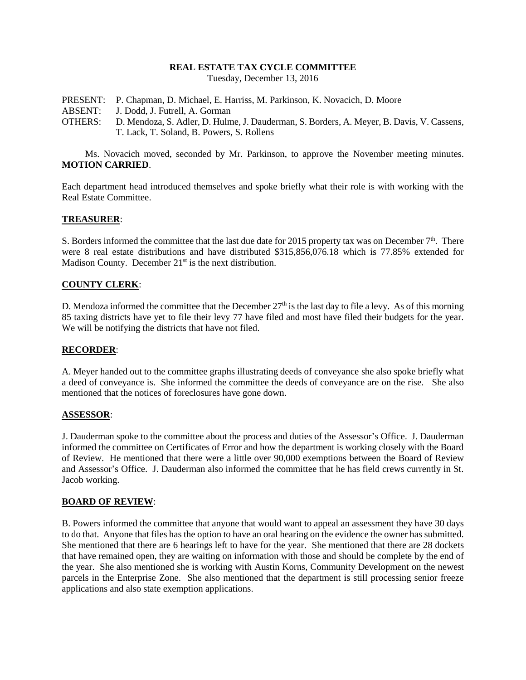# **REAL ESTATE TAX CYCLE COMMITTEE**

Tuesday, December 13, 2016

- PRESENT: P. Chapman, D. Michael, E. Harriss, M. Parkinson, K. Novacich, D. Moore
- ABSENT: J. Dodd, J. Futrell, A. Gorman
- OTHERS: D. Mendoza, S. Adler, D. Hulme, J. Dauderman, S. Borders, A. Meyer, B. Davis, V. Cassens, T. Lack, T. Soland, B. Powers, S. Rollens

Ms. Novacich moved, seconded by Mr. Parkinson, to approve the November meeting minutes. **MOTION CARRIED**.

Each department head introduced themselves and spoke briefly what their role is with working with the Real Estate Committee.

### **TREASURER**:

S. Borders informed the committee that the last due date for 2015 property tax was on December  $7<sup>th</sup>$ . There were 8 real estate distributions and have distributed \$315,856,076.18 which is 77.85% extended for Madison County. December 21<sup>st</sup> is the next distribution.

#### **COUNTY CLERK**:

D. Mendoza informed the committee that the December  $27<sup>th</sup>$  is the last day to file a levy. As of this morning 85 taxing districts have yet to file their levy 77 have filed and most have filed their budgets for the year. We will be notifying the districts that have not filed.

#### **RECORDER**:

A. Meyer handed out to the committee graphs illustrating deeds of conveyance she also spoke briefly what a deed of conveyance is. She informed the committee the deeds of conveyance are on the rise. She also mentioned that the notices of foreclosures have gone down.

#### **ASSESSOR**:

J. Dauderman spoke to the committee about the process and duties of the Assessor's Office. J. Dauderman informed the committee on Certificates of Error and how the department is working closely with the Board of Review. He mentioned that there were a little over 90,000 exemptions between the Board of Review and Assessor's Office. J. Dauderman also informed the committee that he has field crews currently in St. Jacob working.

#### **BOARD OF REVIEW**:

B. Powers informed the committee that anyone that would want to appeal an assessment they have 30 days to do that. Anyone that files has the option to have an oral hearing on the evidence the owner has submitted. She mentioned that there are 6 hearings left to have for the year. She mentioned that there are 28 dockets that have remained open, they are waiting on information with those and should be complete by the end of the year. She also mentioned she is working with Austin Korns, Community Development on the newest parcels in the Enterprise Zone. She also mentioned that the department is still processing senior freeze applications and also state exemption applications.